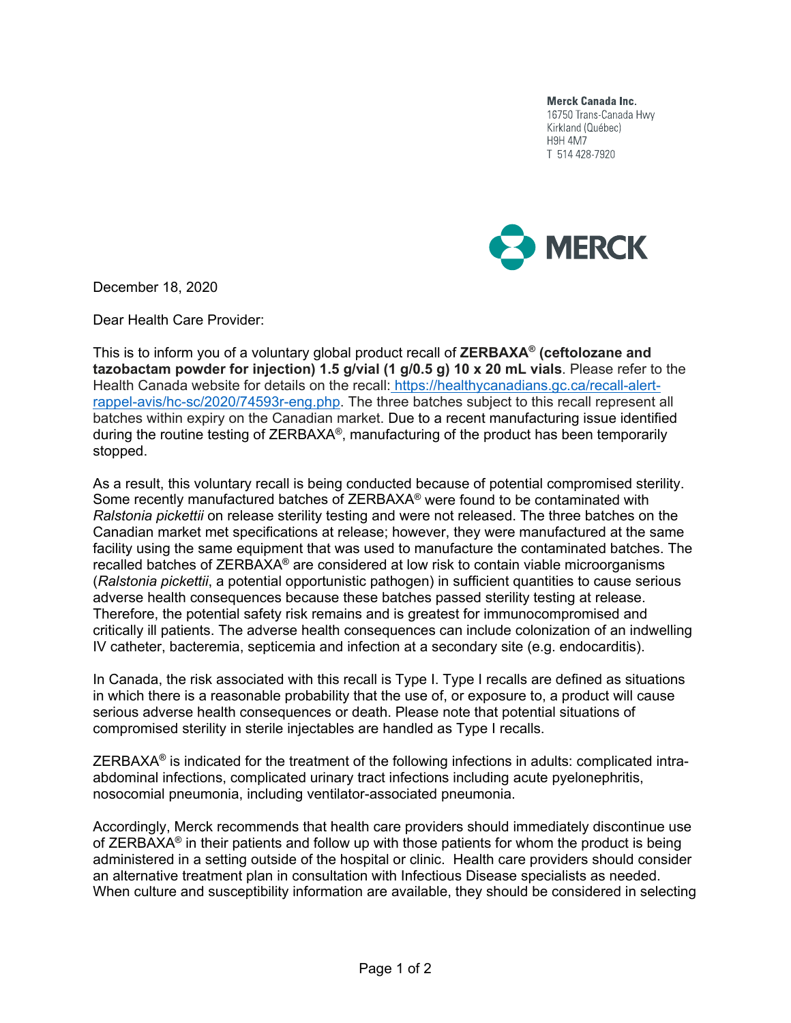**Merck Canada Inc.** 16750 Trans-Canada Hwy Kirkland (Québec) **H9H 4M7** T 514 428-7920



December 18, 2020

Dear Health Care Provider:

This is to inform you of a voluntary global product recall of **ZERBAXA® (ceftolozane and tazobactam powder for injection) 1.5 g/vial (1 g/0.5 g) 10 x 20 mL vials**. Please refer to the Health Canada website for details on the recall: https://healthycanadians.gc.ca/recall-alertrappel-avis/hc-sc/2020/74593r-eng.php. The three batches subject to this recall represent all batches within expiry on the Canadian market. Due to a recent manufacturing issue identified during the routine testing of ZERBAXA®, manufacturing of the product has been temporarily stopped.

As a result, this voluntary recall is being conducted because of potential compromised sterility. Some recently manufactured batches of ZERBAXA® were found to be contaminated with *Ralstonia pickettii* on release sterility testing and were not released. The three batches on the Canadian market met specifications at release; however, they were manufactured at the same facility using the same equipment that was used to manufacture the contaminated batches. The recalled batches of ZERBAXA**®** are considered at low risk to contain viable microorganisms (*Ralstonia pickettii*, a potential opportunistic pathogen) in sufficient quantities to cause serious adverse health consequences because these batches passed sterility testing at release. Therefore, the potential safety risk remains and is greatest for immunocompromised and critically ill patients. The adverse health consequences can include colonization of an indwelling IV catheter, bacteremia, septicemia and infection at a secondary site (e.g. endocarditis).

In Canada, the risk associated with this recall is Type I. Type I recalls are defined as situations in which there is a reasonable probability that the use of, or exposure to, a product will cause serious adverse health consequences or death. Please note that potential situations of compromised sterility in sterile injectables are handled as Type I recalls.

ZERBAXA**®** is indicated for the treatment of the following infections in adults: complicated intraabdominal infections, complicated urinary tract infections including acute pyelonephritis, nosocomial pneumonia, including ventilator-associated pneumonia.

Accordingly, Merck recommends that health care providers should immediately discontinue use of ZERBAXA® in their patients and follow up with those patients for whom the product is being administered in a setting outside of the hospital or clinic. Health care providers should consider an alternative treatment plan in consultation with Infectious Disease specialists as needed. When culture and susceptibility information are available, they should be considered in selecting